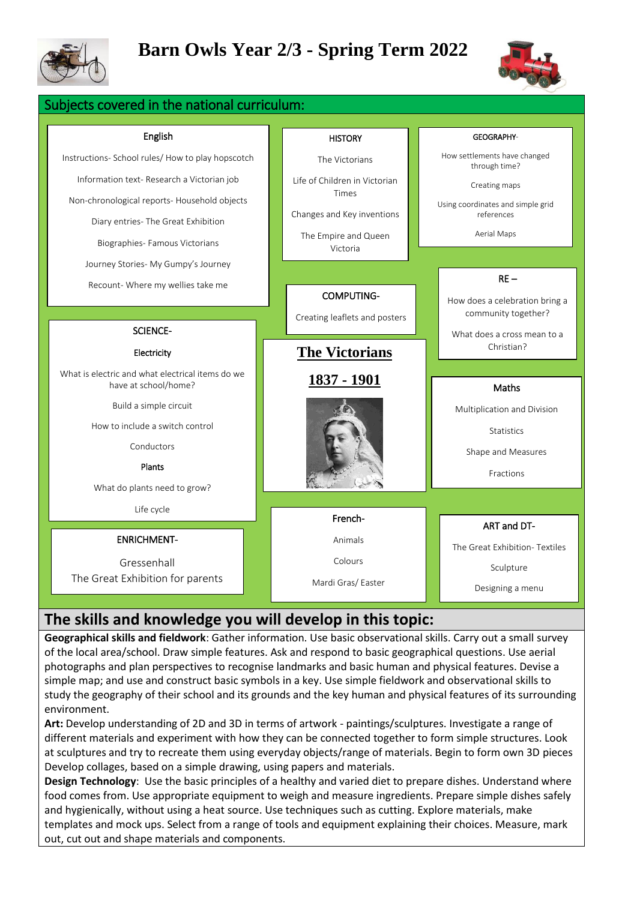

# **Barn Owls Year 2/3 - Spring Term 2022**

ects covered in the national curriculum:



| English                                                                  | <b>HISTORY</b>                   | GEOGRAPHY-                                    |
|--------------------------------------------------------------------------|----------------------------------|-----------------------------------------------|
| Instructions- School rules/ How to play hopscotch                        | The Victorians                   | How settlements have changed<br>through time? |
| Information text- Research a Victorian job                               | Life of Children in Victorian    | Creating maps                                 |
| Non-chronological reports- Household objects                             | Times                            | Using coordinates and simple grid             |
| Diary entries- The Great Exhibition                                      | Changes and Key inventions       | references                                    |
| Biographies- Famous Victorians                                           | The Empire and Queen<br>Victoria | Aerial Maps                                   |
| Journey Stories- My Gumpy's Journey                                      |                                  |                                               |
| Recount- Where my wellies take me                                        |                                  | $RE-$                                         |
|                                                                          | <b>COMPUTING-</b>                | How does a celebration bring a                |
|                                                                          | Creating leaflets and posters    | community together?                           |
| <b>SCIENCE-</b>                                                          |                                  | What does a cross mean to a                   |
| Electricity                                                              | <b>The Victorians</b>            | Christian?                                    |
|                                                                          |                                  |                                               |
| What is electric and what electrical items do we<br>have at school/home? | 1837 - 1901                      | Maths                                         |
| Build a simple circuit                                                   |                                  | Multiplication and Division                   |
| How to include a switch control                                          |                                  | <b>Statistics</b>                             |
| Conductors                                                               |                                  |                                               |
| Plants                                                                   |                                  | Shape and Measures                            |
| What do plants need to grow?                                             |                                  | Fractions                                     |
|                                                                          |                                  |                                               |
| Life cycle                                                               | French-                          | ART and DT-                                   |
| <b>ENRICHMENT-</b>                                                       | Animals                          |                                               |
| Gressenhall                                                              | Colours                          | The Great Exhibition-Textiles                 |
| The Great Exhibition for parents                                         |                                  | Sculpture                                     |
|                                                                          | Mardi Gras/Easter                | Designing a menu                              |

## **The skills and knowledge you will develop in this topic:**

**Geographical skills and fieldwork**: Gather information. Use basic observational skills. Carry out a small survey of the local area/school. Draw simple features. Ask and respond to basic geographical questions. Use aerial photographs and plan perspectives to recognise landmarks and basic human and physical features. Devise a simple map; and use and construct basic symbols in a key. Use simple fieldwork and observational skills to study the geography of their school and its grounds and the key human and physical features of its surrounding environment.

**Art:** Develop understanding of 2D and 3D in terms of artwork - paintings/sculptures. Investigate a range of different materials and experiment with how they can be connected together to form simple structures. Look at sculptures and try to recreate them using everyday objects/range of materials. Begin to form own 3D pieces Develop collages, based on a simple drawing, using papers and materials.

**Design Technology**: Use the basic principles of a healthy and varied diet to prepare dishes. Understand where food comes from. Use appropriate equipment to weigh and measure ingredients. Prepare simple dishes safely and hygienically, without using a heat source. Use techniques such as cutting. Explore materials, make templates and mock ups. Select from a range of tools and equipment explaining their choices. Measure, mark out, cut out and shape materials and components.